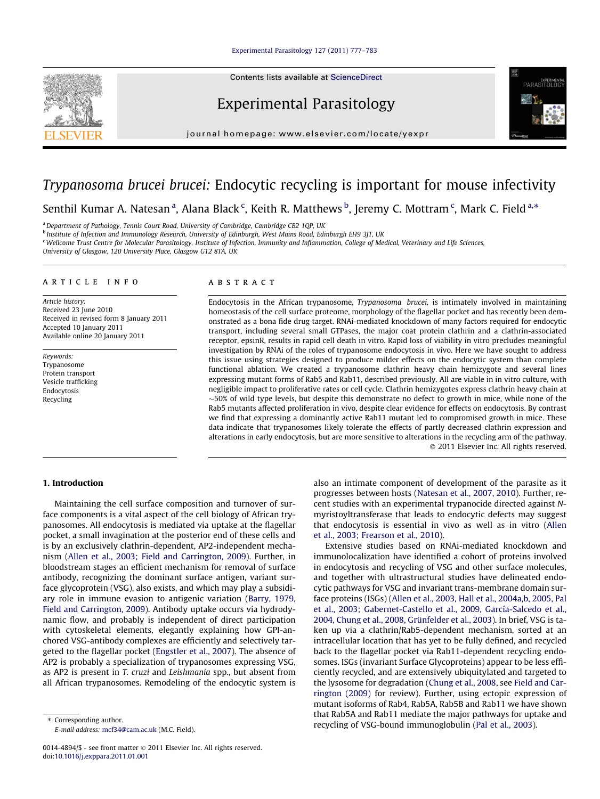#### [Experimental Parasitology 127 \(2011\) 777–783](http://dx.doi.org/10.1016/j.exppara.2011.01.001)

Contents lists available at [ScienceDirect](http://www.sciencedirect.com/science/journal/00144894)

# Experimental Parasitology

journal homepage: [www.elsevier.com/locate/yexpr](http://www.elsevier.com/locate/yexpr)



# Trypanosoma brucei brucei: Endocytic recycling is important for mouse infectivity

Senthil Kumar A. Natesan <sup>a</sup>, Alana Black <sup>c</sup>, Keith R. Matthews <sup>b</sup>, Jeremy C. Mottram <sup>c</sup>, Mark C. Field <sup>a,</sup>\*

<sup>a</sup> Department of Pathology, Tennis Court Road, University of Cambridge, Cambridge CB2 1QP, UK

**b** Institute of Infection and Immunology Research, University of Edinburgh, West Mains Road, Edinburgh EH9 3JT, UK

<sup>c</sup> Wellcome Trust Centre for Molecular Parasitology, Institute of Infection, Immunity and Inflammation, College of Medical, Veterinary and Life Sciences,

University of Glasgow, 120 University Place, Glasgow G12 8TA, UK

#### article info

Article history: Received 23 June 2010 Received in revised form 8 January 2011 Accepted 10 January 2011 Available online 20 January 2011

Keywords: Trypanosome Protein transport Vesicle trafficking Endocytosis Recycling

#### ABSTRACT

Endocytosis in the African trypanosome, Trypanosoma brucei, is intimately involved in maintaining homeostasis of the cell surface proteome, morphology of the flagellar pocket and has recently been demonstrated as a bona fide drug target. RNAi-mediated knockdown of many factors required for endocytic transport, including several small GTPases, the major coat protein clathrin and a clathrin-associated receptor, epsinR, results in rapid cell death in vitro. Rapid loss of viability in vitro precludes meaningful investigation by RNAi of the roles of trypanosome endocytosis in vivo. Here we have sought to address this issue using strategies designed to produce milder effects on the endocytic system than complete functional ablation. We created a trypanosome clathrin heavy chain hemizygote and several lines expressing mutant forms of Rab5 and Rab11, described previously. All are viable in in vitro culture, with negligible impact to proliferative rates or cell cycle. Clathrin hemizygotes express clathrin heavy chain at  $\sim$ 50% of wild type levels, but despite this demonstrate no defect to growth in mice, while none of the Rab5 mutants affected proliferation in vivo, despite clear evidence for effects on endocytosis. By contrast we find that expressing a dominantly active Rab11 mutant led to compromised growth in mice. These data indicate that trypanosomes likely tolerate the effects of partly decreased clathrin expression and alterations in early endocytosis, but are more sensitive to alterations in the recycling arm of the pathway. - 2011 Elsevier Inc. All rights reserved.

#### 1. Introduction

Maintaining the cell surface composition and turnover of surface components is a vital aspect of the cell biology of African trypanosomes. All endocytosis is mediated via uptake at the flagellar pocket, a small invagination at the posterior end of these cells and is by an exclusively clathrin-dependent, AP2-independent mechanism ([Allen et al., 2003; Field and Carrington, 2009](#page-5-0)). Further, in bloodstream stages an efficient mechanism for removal of surface antibody, recognizing the dominant surface antigen, variant surface glycoprotein (VSG), also exists, and which may play a subsidiary role in immune evasion to antigenic variation ([Barry, 1979,](#page-5-0) [Field and Carrington, 2009](#page-5-0)). Antibody uptake occurs via hydrodynamic flow, and probably is independent of direct participation with cytoskeletal elements, elegantly explaining how GPI-anchored VSG-antibody complexes are efficiently and selectively targeted to the flagellar pocket ([Engstler et al., 2007\)](#page-5-0). The absence of AP2 is probably a specialization of trypanosomes expressing VSG, as AP2 is present in T. cruzi and Leishmania spp., but absent from all African trypanosomes. Remodeling of the endocytic system is

0014-4894/\$ - see front matter © 2011 Elsevier Inc. All rights reserved. doi[:10.1016/j.exppara.2011.01.001](http://dx.doi.org/10.1016/j.exppara.2011.01.001)

also an intimate component of development of the parasite as it progresses between hosts [\(Natesan et al., 2007, 2010\)](#page-6-0). Further, recent studies with an experimental trypanocide directed against Nmyristoyltransferase that leads to endocytic defects may suggest that endocytosis is essential in vivo as well as in vitro [\(Allen](#page-5-0) [et al., 2003; Frearson et al., 2010](#page-5-0)).

Extensive studies based on RNAi-mediated knockdown and immunolocalization have identified a cohort of proteins involved in endocytosis and recycling of VSG and other surface molecules, and together with ultrastructural studies have delineated endocytic pathways for VSG and invariant trans-membrane domain surface proteins (ISGs) [\(Allen et al., 2003, Hall et al., 2004a,b, 2005, Pal](#page-5-0) [et al., 2003; Gabernet-Castello et al., 2009, García-Salcedo et al.,](#page-5-0) [2004, Chung et al., 2008, Grünfelder et al., 2003\)](#page-5-0). In brief, VSG is taken up via a clathrin/Rab5-dependent mechanism, sorted at an intracellular location that has yet to be fully defined, and recycled back to the flagellar pocket via Rab11-dependent recycling endosomes. ISGs (invariant Surface Glycoproteins) appear to be less efficiently recycled, and are extensively ubiquitylated and targeted to the lysosome for degradation ([Chung et al., 2008,](#page-5-0) see [Field and Car](#page-5-0)[rington \(2009\)](#page-5-0) for review). Further, using ectopic expression of mutant isoforms of Rab4, Rab5A, Rab5B and Rab11 we have shown that Rab5A and Rab11 mediate the major pathways for uptake and recycling of VSG-bound immunoglobulin ([Pal et al., 2003\)](#page-6-0).

<sup>\*</sup> Corresponding author. E-mail address: [mcf34@cam.ac.uk](mailto:mcf34@cam.ac.uk) (M.C. Field).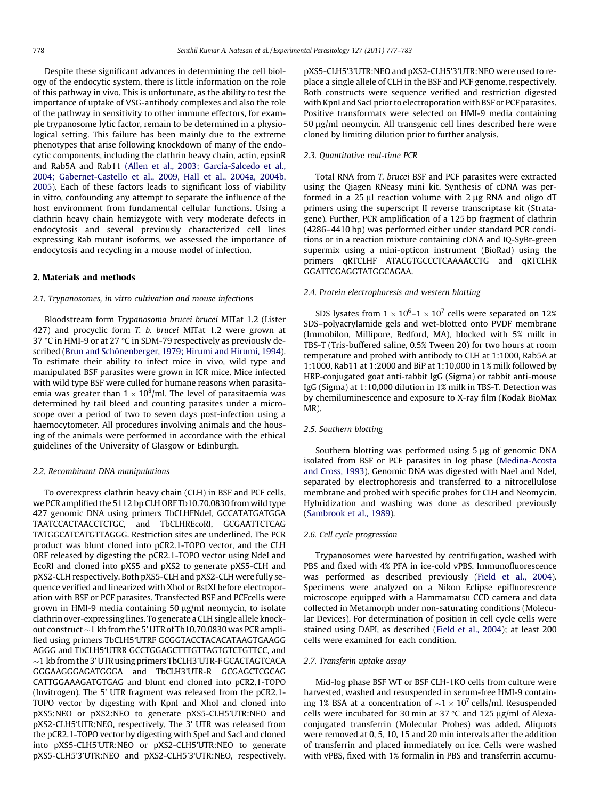Despite these significant advances in determining the cell biology of the endocytic system, there is little information on the role of this pathway in vivo. This is unfortunate, as the ability to test the importance of uptake of VSG-antibody complexes and also the role of the pathway in sensitivity to other immune effectors, for example trypanosome lytic factor, remain to be determined in a physiological setting. This failure has been mainly due to the extreme phenotypes that arise following knockdown of many of the endocytic components, including the clathrin heavy chain, actin, epsinR and Rab5A and Rab11 [\(Allen et al., 2003; García-Salcedo et al.,](#page-5-0) [2004; Gabernet-Castello et al., 2009, Hall et al., 2004a, 2004b,](#page-5-0) [2005\)](#page-5-0). Each of these factors leads to significant loss of viability in vitro, confounding any attempt to separate the influence of the host environment from fundamental cellular functions. Using a clathrin heavy chain hemizygote with very moderate defects in endocytosis and several previously characterized cell lines expressing Rab mutant isoforms, we assessed the importance of endocytosis and recycling in a mouse model of infection.

# 2. Materials and methods

## 2.1. Trypanosomes, in vitro cultivation and mouse infections

Bloodstream form Trypanosoma brucei brucei MITat 1.2 (Lister 427) and procyclic form T. b. brucei MITat 1.2 were grown at 37 °C in HMI-9 or at 27 °C in SDM-79 respectively as previously described ([Brun and Schönenberger, 1979; Hirumi and Hirumi, 1994\)](#page-5-0). To estimate their ability to infect mice in vivo, wild type and manipulated BSF parasites were grown in ICR mice. Mice infected with wild type BSF were culled for humane reasons when parasitaemia was greater than 1  $\times$  10 $^{8}$ /ml. The level of parasitaemia was determined by tail bleed and counting parasites under a microscope over a period of two to seven days post-infection using a haemocytometer. All procedures involving animals and the housing of the animals were performed in accordance with the ethical guidelines of the University of Glasgow or Edinburgh.

#### 2.2. Recombinant DNA manipulations

To overexpress clathrin heavy chain (CLH) in BSF and PCF cells, we PCR amplified the 5112 bp CLH ORF Tb10.70.0830 from wild type 427 genomic DNA using primers TbCLHFNdeI, GCCATATGATGGA TAATCCACTAACCTCTGC, and TbCLHREcoRI, GCGAATTCTCAG TATGGCATCATGTTAGGG. Restriction sites are underlined. The PCR product was blunt cloned into pCR2.1-TOPO vector, and the CLH ORF released by digesting the pCR2.1-TOPO vector using NdeI and EcoRI and cloned into pXS5 and pXS2 to generate pXS5-CLH and pXS2-CLH respectively. Both pXS5-CLH and pXS2-CLH were fully sequence verified and linearized with XhoI or BstXI before electroporation with BSF or PCF parasites. Transfected BSF and PCFcells were grown in HMI-9 media containing 50  $\mu$ g/ml neomycin, to isolate clathrin over-expressing lines. To generate a CLH single allele knockout construct  ${\sim}1\,$  kb from the 5' UTR of Tb10.70.0830 was PCR amplified using primers TbCLH5'UTRF GCGGTACCTACACATAAGTGAAGG AGGG and TbCLH5'UTRR GCCTGGAGCTTTGTTAGTGTCTGTTCC, and  ${\sim}1\,$  kb from the 3' UTR using primers TbCLH3'UTR-F GCACTAGTCACA GGGAAGGGAGATGGGA and TbCLH3'UTR-R GCGAGCTCGCAG CATTGGAAAGATGTGAG and blunt end cloned into pCR2.1-TOPO (Invitrogen). The 5' UTR fragment was released from the pCR2.1- TOPO vector by digesting with KpnI and XhoI and cloned into pXS5:NEO or pXS2:NEO to generate pXS5-CLH5'UTR:NEO and pXS2-CLH5'UTR:NEO, respectively. The 3' UTR was released from the pCR2.1-TOPO vector by digesting with SpeI and SacI and cloned into pXS5-CLH5'UTR:NEO or pXS2-CLH5'UTR:NEO to generate pXS5-CLH5'3'UTR:NEO and pXS2-CLH5'3'UTR:NEO, respectively. pXS5-CLH5'3'UTR:NEO and pXS2-CLH5'3'UTR:NEO were used to replace a single allele of CLH in the BSF and PCF genome, respectively. Both constructs were sequence verified and restriction digested with KpnI and SacI prior to electroporation with BSF or PCF parasites. Positive transformats were selected on HMI-9 media containing 50 µg/ml neomycin. All transgenic cell lines described here were cloned by limiting dilution prior to further analysis.

#### 2.3. Quantitative real-time PCR

Total RNA from T. brucei BSF and PCF parasites were extracted using the Qiagen RNeasy mini kit. Synthesis of cDNA was performed in a  $25 \mu l$  reaction volume with  $2 \mu g$  RNA and oligo dT primers using the superscript II reverse transcriptase kit (Stratagene). Further, PCR amplification of a 125 bp fragment of clathrin (4286–4410 bp) was performed either under standard PCR conditions or in a reaction mixture containing cDNA and IQ-SyBr-green supermix using a mini-opticon instrument (BioRad) using the primers qRTCLHF ATACGTGCCCTCAAAACCTG and qRTCLHR GGATTCGAGGTATGGCAGAA.

#### 2.4. Protein electrophoresis and western blotting

SDS lysates from  $1 \times 10^6$ – $1 \times 10^7$  cells were separated on 12% SDS–polyacrylamide gels and wet-blotted onto PVDF membrane (Immobilon, Millipore, Bedford, MA), blocked with 5% milk in TBS-T (Tris-buffered saline, 0.5% Tween 20) for two hours at room temperature and probed with antibody to CLH at 1:1000, Rab5A at 1:1000, Rab11 at 1:2000 and BiP at 1:10,000 in 1% milk followed by HRP-conjugated goat anti-rabbit IgG (Sigma) or rabbit anti-mouse IgG (Sigma) at 1:10,000 dilution in 1% milk in TBS-T. Detection was by chemiluminescence and exposure to X-ray film (Kodak BioMax MR).

# 2.5. Southern blotting

Southern blotting was performed using 5 µg of genomic DNA isolated from BSF or PCF parasites in log phase [\(Medina-Acosta](#page-6-0) [and Cross, 1993\)](#page-6-0). Genomic DNA was digested with NaeI and NdeI, separated by electrophoresis and transferred to a nitrocellulose membrane and probed with specific probes for CLH and Neomycin. Hybridization and washing was done as described previously ([Sambrook et al., 1989](#page-6-0)).

#### 2.6. Cell cycle progression

Trypanosomes were harvested by centrifugation, washed with PBS and fixed with 4% PFA in ice-cold vPBS. Immunofluorescence was performed as described previously [\(Field et al., 2004\)](#page-5-0). Specimens were analyzed on a Nikon Eclipse epifluorescence microscope equipped with a Hammamatsu CCD camera and data collected in Metamorph under non-saturating conditions (Molecular Devices). For determination of position in cell cycle cells were stained using DAPI, as described [\(Field et al., 2004](#page-5-0)); at least 200 cells were examined for each condition.

#### 2.7. Transferin uptake assay

Mid-log phase BSF WT or BSF CLH-1KO cells from culture were harvested, washed and resuspended in serum-free HMI-9 containing 1% BSA at a concentration of  $\sim$ 1  $\times$  10<sup>7</sup> cells/ml. Resuspended cells were incubated for 30 min at 37  $\degree$ C and 125  $\mu$ g/ml of Alexaconjugated transferrin (Molecular Probes) was added. Aliquots were removed at 0, 5, 10, 15 and 20 min intervals after the addition of transferrin and placed immediately on ice. Cells were washed with vPBS, fixed with 1% formalin in PBS and transferrin accumu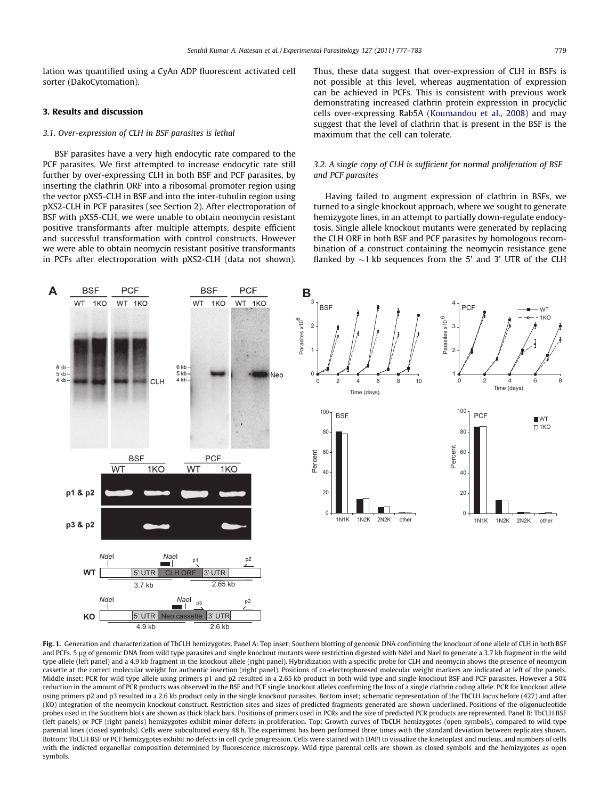<span id="page-2-0"></span>lation was quantified using a CyAn ADP fluorescent activated cell sorter (DakoCytomation).

# 3. Results and discussion

#### 3.1. Over-expression of CLH in BSF parasites is lethal

BSF parasites have a very high endocytic rate compared to the PCF parasites. We first attempted to increase endocytic rate still further by over-expressing CLH in both BSF and PCF parasites, by inserting the clathrin ORF into a ribosomal promoter region using the vector pXS5-CLH in BSF and into the inter-tubulin region using pXS2-CLH in PCF parasites (see Section 2). After electroporation of BSF with pXS5-CLH, we were unable to obtain neomycin resistant positive transformants after multiple attempts, despite efficient and successful transformation with control constructs. However we were able to obtain neomycin resistant positive transformants in PCFs after electroporation with pXS2-CLH (data not shown).



Thus, these data suggest that over-expression of CLH in BSFs is not possible at this level, whereas augmentation of expression can be achieved in PCFs. This is consistent with previous work demonstrating increased clathrin protein expression in procyclic cells over-expressing Rab5A [\(Koumandou et al., 2008\)](#page-6-0) and may suggest that the level of clathrin that is present in the BSF is the maximum that the cell can tolerate.

#### 3.2. A single copy of CLH is sufficient for normal proliferation of BSF and PCF parasites

Having failed to augment expression of clathrin in BSFs, we turned to a single knockout approach, where we sought to generate hemizygote lines, in an attempt to partially down-regulate endocytosis. Single allele knockout mutants were generated by replacing the CLH ORF in both BSF and PCF parasites by homologous recombination of a construct containing the neomycin resistance gene flanked by  ${\sim}1$  kb sequences from the 5' and 3' UTR of the CLH



Fig. 1. Generation and characterization of TbCLH hemizygotes. Panel A: Top inset; Southern blotting of genomic DNA confirming the knockout of one allele of CLH in both BSF and PCFs. 5 µg of genomic DNA from wild type parasites and single knockout mutants were restriction digested with NdeI and NaeI to generate a 3.7 kb fragment in the wild type allele (left panel) and a 4.9 kb fragment in the knockout allele (right panel). Hybridization with a specific probe for CLH and neomycin shows the presence of neomycin cassette at the correct molecular weight for authentic insertion (right panel). Positions of co-electrophoresed molecular weight markers are indicated at left of the panels. Middle inset; PCR for wild type allele using primers p1 and p2 resulted in a 2.65 kb product in both wild type and single knockout BSF and PCF parasites. However a 50% reduction in the amount of PCR products was observed in the BSF and PCF single knockout alleles confirming the loss of a single clathrin coding allele. PCR for knockout allele using primers p2 and p3 resulted in a 2.6 kb product only in the single knockout parasites. Bottom inset; schematic representation of the TbCLH locus before (427) and after (KO) integration of the neomycin knockout construct. Restriction sites and sizes of predicted fragments generated are shown underlined. Positions of the oligonucleotide probes used in the Southern blots are shown as thick black bars. Positions of primers used in PCRs and the size of predicted PCR products are represented. Panel B: TbCLH BSF (left panels) or PCF (right panels) hemizygotes exhibit minor defects in proliferation. Top: Growth curves of TbCLH hemizygotes (open symbols), compared to wild type parental lines (closed symbols). Cells were subcultured every 48 h. The experiment has been performed three times with the standard deviation between replicates shown. Bottom: TbCLH BSF or PCF hemizygotes exhibit no defects in cell cycle progression. Cells were stained with DAPI to visualize the kinetoplast and nucleus, and numbers of cells with the indicted organellar composition determined by fluorescence microscopy. Wild type parental cells are shown as closed symbols and the hemizygotes as open symbols.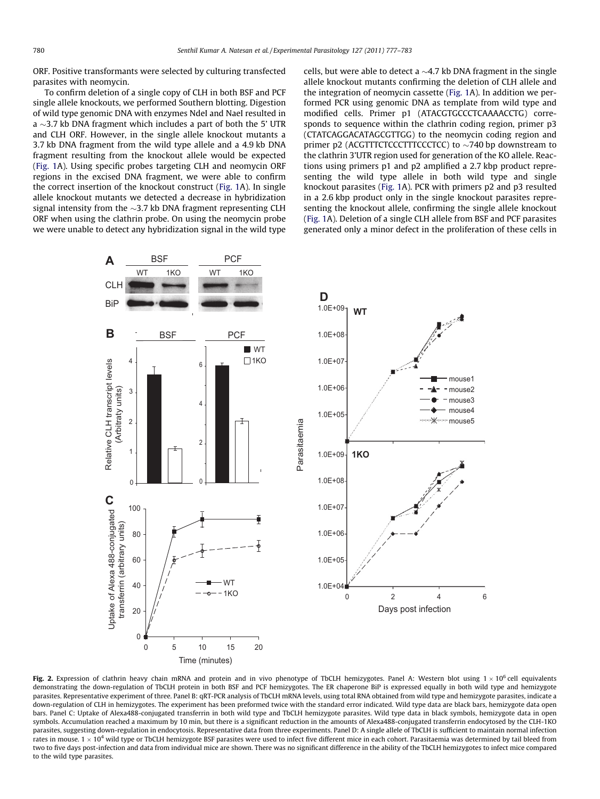<span id="page-3-0"></span>ORF. Positive transformants were selected by culturing transfected parasites with neomycin.

To confirm deletion of a single copy of CLH in both BSF and PCF single allele knockouts, we performed Southern blotting. Digestion of wild type genomic DNA with enzymes NdeI and NaeI resulted in a  $\sim$ 3.7 kb DNA fragment which includes a part of both the 5' UTR and CLH ORF. However, in the single allele knockout mutants a 3.7 kb DNA fragment from the wild type allele and a 4.9 kb DNA fragment resulting from the knockout allele would be expected ([Fig. 1A](#page-2-0)). Using specific probes targeting CLH and neomycin ORF regions in the excised DNA fragment, we were able to confirm the correct insertion of the knockout construct ([Fig. 1](#page-2-0)A). In single allele knockout mutants we detected a decrease in hybridization signal intensity from the  ${\sim}$ 3.7 kb DNA fragment representing CLH ORF when using the clathrin probe. On using the neomycin probe we were unable to detect any hybridization signal in the wild type

cells, but were able to detect a  $\sim$ 4.7 kb DNA fragment in the single allele knockout mutants confirming the deletion of CLH allele and the integration of neomycin cassette [\(Fig. 1](#page-2-0)A). In addition we performed PCR using genomic DNA as template from wild type and modified cells. Primer p1 (ATACGTGCCCTCAAAACCTG) corresponds to sequence within the clathrin coding region, primer p3 (CTATCAGGACATAGCGTTGG) to the neomycin coding region and primer  $p2$  (ACGTTTCTCCCTTTCCCTCC) to  $\sim$ 740 bp downstream to the clathrin 3'UTR region used for generation of the KO allele. Reactions using primers p1 and p2 amplified a 2.7 kbp product representing the wild type allele in both wild type and single knockout parasites ([Fig. 1](#page-2-0)A). PCR with primers p2 and p3 resulted in a 2.6 kbp product only in the single knockout parasites representing the knockout allele, confirming the single allele knockout ([Fig. 1A](#page-2-0)). Deletion of a single CLH allele from BSF and PCF parasites generated only a minor defect in the proliferation of these cells in



Fig. 2. Expression of clathrin heavy chain mRNA and protein and in vivo phenotype of TbCLH hemizygotes. Panel A: Western blot using  $1 \times 10^6$  cell equivalents demonstrating the down-regulation of TbCLH protein in both BSF and PCF hemizygotes. The ER chaperone BiP is expressed equally in both wild type and hemizygote parasites. Representative experiment of three. Panel B: qRT-PCR analysis of TbCLH mRNA levels, using total RNA obtained from wild type and hemizygote parasites, indicate a down-regulation of CLH in hemizygotes. The experiment has been preformed twice with the standard error indicated. Wild type data are black bars, hemizygote data open bars. Panel C: Uptake of Alexa488-conjugated transferrin in both wild type and TbCLH hemizygote parasites. Wild type data in black symbols, hemizygote data in open symbols. Accumulation reached a maximum by 10 min, but there is a significant reduction in the amounts of Alexa488-conjugated transferrin endocytosed by the CLH-1KO parasites, suggesting down-regulation in endocytosis. Representative data from three experiments. Panel D: A single allele of TbCLH is sufficient to maintain normal infection rates in mouse.  $1 \times 10^4$  wild type or TbCLH hemizygote BSF parasites were used to infect five different mice in each cohort. Parasitaemia was determined by tail bleed from two to five days post-infection and data from individual mice are shown. There was no significant difference in the ability of the TbCLH hemizygotes to infect mice compared to the wild type parasites.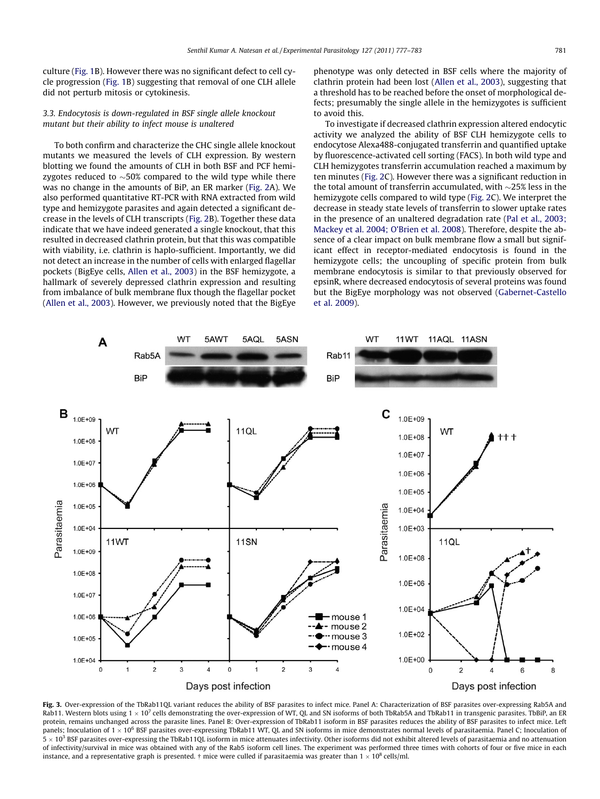<span id="page-4-0"></span>culture [\(Fig. 1B](#page-2-0)). However there was no significant defect to cell cycle progression [\(Fig. 1B](#page-2-0)) suggesting that removal of one CLH allele did not perturb mitosis or cytokinesis.

## 3.3. Endocytosis is down-regulated in BSF single allele knockout mutant but their ability to infect mouse is unaltered

To both confirm and characterize the CHC single allele knockout mutants we measured the levels of CLH expression. By western blotting we found the amounts of CLH in both BSF and PCF hemizygotes reduced to  ${\sim}50\%$  compared to the wild type while there was no change in the amounts of BiP, an ER marker [\(Fig. 2A](#page-3-0)). We also performed quantitative RT-PCR with RNA extracted from wild type and hemizygote parasites and again detected a significant decrease in the levels of CLH transcripts ([Fig. 2B](#page-3-0)). Together these data indicate that we have indeed generated a single knockout, that this resulted in decreased clathrin protein, but that this was compatible with viability, i.e. clathrin is haplo-sufficient. Importantly, we did not detect an increase in the number of cells with enlarged flagellar pockets (BigEye cells, [Allen et al., 2003](#page-5-0)) in the BSF hemizygote, a hallmark of severely depressed clathrin expression and resulting from imbalance of bulk membrane flux though the flagellar pocket ([Allen et al., 2003\)](#page-5-0). However, we previously noted that the BigEye phenotype was only detected in BSF cells where the majority of clathrin protein had been lost ([Allen et al., 2003](#page-5-0)), suggesting that a threshold has to be reached before the onset of morphological defects; presumably the single allele in the hemizygotes is sufficient to avoid this.

To investigate if decreased clathrin expression altered endocytic activity we analyzed the ability of BSF CLH hemizygote cells to endocytose Alexa488-conjugated transferrin and quantified uptake by fluorescence-activated cell sorting (FACS). In both wild type and CLH hemizygotes transferrin accumulation reached a maximum by ten minutes ([Fig. 2C](#page-3-0)). However there was a significant reduction in the total amount of transferrin accumulated, with  $\sim$ 25% less in the hemizygote cells compared to wild type [\(Fig. 2C](#page-3-0)). We interpret the decrease in steady state levels of transferrin to slower uptake rates in the presence of an unaltered degradation rate [\(Pal et al., 2003;](#page-6-0) [Mackey et al. 2004; O'Brien et al. 2008\)](#page-6-0). Therefore, despite the absence of a clear impact on bulk membrane flow a small but significant effect in receptor-mediated endocytosis is found in the hemizygote cells; the uncoupling of specific protein from bulk membrane endocytosis is similar to that previously observed for epsinR, where decreased endocytosis of several proteins was found but the BigEye morphology was not observed ([Gabernet-Castello](#page-5-0) [et al. 2009\)](#page-5-0).



Fig. 3. Over-expression of the TbRab11QL variant reduces the ability of BSF parasites to infect mice. Panel A: Characterization of BSF parasites over-expressing Rab5A and Rab11. Western blots using  $1 \times 10^7$  cells demonstrating the over-expression of WT, QL and SN isoforms of both TbRab5A and TbRab11 in transgenic parasites. TbBiP, an ER protein, remains unchanged across the parasite lines. Panel B: Over-expression of TbRab11 isoform in BSF parasites reduces the ability of BSF parasites to infect mice. Left panels; Inoculation of  $1 \times 10^6$  BSF parasites over-expressing TbRab11 WT, QL and SN isoforms in mice demonstrates normal levels of parasitaemia. Panel C; Inoculation of 5  $\times$  10<sup>3</sup> BSF parasites over-expressing the TbRab11QL isoform in mice attenuates infectivity. Other isoforms did not exhibit altered levels of parasitaemia and no attenuation of infectivity/survival in mice was obtained with any of the Rab5 isoform cell lines. The experiment was performed three times with cohorts of four or five mice in each instance, and a representative graph is presented. † mice were culled if parasitaemia was greater than 1  $\times$  10<sup>8</sup> cells/ml.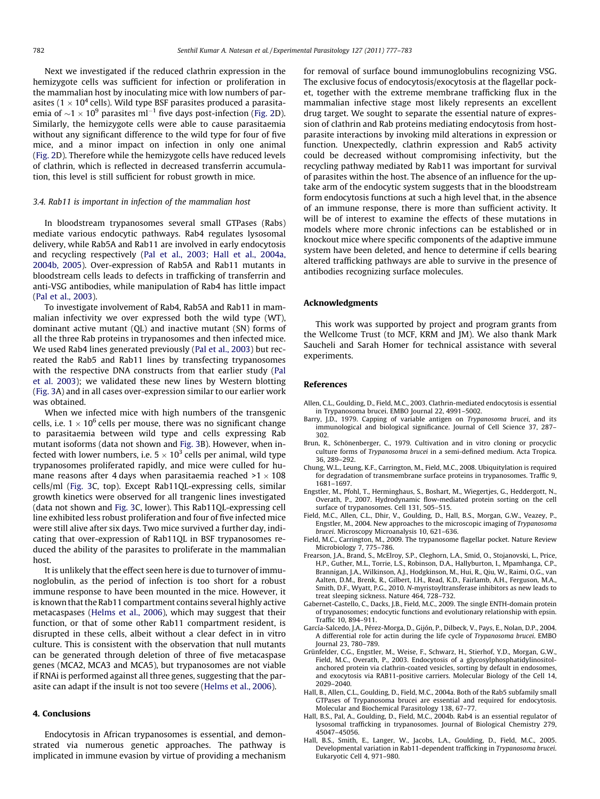<span id="page-5-0"></span>Next we investigated if the reduced clathrin expression in the hemizygote cells was sufficient for infection or proliferation in the mammalian host by inoculating mice with low numbers of parasites (1  $\times$  10<sup>4</sup> cells). Wild type BSF parasites produced a parasitaemia of  ${\sim}1 \times 10^9$  parasites ml $^{-1}$  five days post-infection ([Fig. 2D](#page-3-0)). Similarly, the hemizygote cells were able to cause parasitaemia without any significant difference to the wild type for four of five mice, and a minor impact on infection in only one animal ([Fig. 2D](#page-3-0)). Therefore while the hemizygote cells have reduced levels of clathrin, which is reflected in decreased transferrin accumulation, this level is still sufficient for robust growth in mice.

#### 3.4. Rab11 is important in infection of the mammalian host

In bloodstream trypanosomes several small GTPases (Rabs) mediate various endocytic pathways. Rab4 regulates lysosomal delivery, while Rab5A and Rab11 are involved in early endocytosis and recycling respectively ([Pal et al., 2003; Hall et al., 2004a,](#page-6-0) [2004b, 2005](#page-6-0)). Over-expression of Rab5A and Rab11 mutants in bloodstream cells leads to defects in trafficking of transferrin and anti-VSG antibodies, while manipulation of Rab4 has little impact ([Pal et al., 2003\)](#page-6-0).

To investigate involvement of Rab4, Rab5A and Rab11 in mammalian infectivity we over expressed both the wild type (WT), dominant active mutant (QL) and inactive mutant (SN) forms of all the three Rab proteins in trypanosomes and then infected mice. We used Rab4 lines generated previously ([Pal et al., 2003\)](#page-6-0) but recreated the Rab5 and Rab11 lines by transfecting trypanosomes with the respective DNA constructs from that earlier study [\(Pal](#page-6-0) [et al. 2003](#page-6-0)); we validated these new lines by Western blotting ([Fig. 3](#page-4-0)A) and in all cases over-expression similar to our earlier work was obtained.

When we infected mice with high numbers of the transgenic cells, i.e.  $1 \times 10^6$  cells per mouse, there was no significant change to parasitaemia between wild type and cells expressing Rab mutant isoforms (data not shown and [Fig. 3B](#page-4-0)). However, when infected with lower numbers, i.e.  $5 \times 10^3$  cells per animal, wild type trypanosomes proliferated rapidly, and mice were culled for humane reasons after 4 days when parasitaemia reached  $>1 \times 108$ cells/ml ([Fig. 3C](#page-4-0), top). Except Rab11QL-expressing cells, similar growth kinetics were observed for all trangenic lines investigated (data not shown and [Fig. 3](#page-4-0)C, lower). This Rab11QL-expressing cell line exhibited less robust proliferation and four of five infected mice were still alive after six days. Two mice survived a further day, indicating that over-expression of Rab11QL in BSF trypanosomes reduced the ability of the parasites to proliferate in the mammalian host.

It is unlikely that the effect seen here is due to turnover of immunoglobulin, as the period of infection is too short for a robust immune response to have been mounted in the mice. However, it is known that the Rab11 compartment contains several highly active metacaspases ([Helms et al., 2006](#page-6-0)), which may suggest that their function, or that of some other Rab11 compartment resident, is disrupted in these cells, albeit without a clear defect in in vitro culture. This is consistent with the observation that null mutants can be generated through deletion of three of five metacaspase genes (MCA2, MCA3 and MCA5), but trypanosomes are not viable if RNAi is performed against all three genes, suggesting that the parasite can adapt if the insult is not too severe ([Helms et al., 2006\)](#page-6-0).

#### 4. Conclusions

Endocytosis in African trypanosomes is essential, and demonstrated via numerous genetic approaches. The pathway is implicated in immune evasion by virtue of providing a mechanism for removal of surface bound immunoglobulins recognizing VSG. The exclusive focus of endocytosis/exocytosis at the flagellar pocket, together with the extreme membrane trafficking flux in the mammalian infective stage most likely represents an excellent drug target. We sought to separate the essential nature of expression of clathrin and Rab proteins mediating endocytosis from hostparasite interactions by invoking mild alterations in expression or function. Unexpectedly, clathrin expression and Rab5 activity could be decreased without compromising infectivity, but the recycling pathway mediated by Rab11 was important for survival of parasites within the host. The absence of an influence for the uptake arm of the endocytic system suggests that in the bloodstream form endocytosis functions at such a high level that, in the absence of an immune response, there is more than sufficient activity. It will be of interest to examine the effects of these mutations in models where more chronic infections can be established or in knockout mice where specific components of the adaptive immune system have been deleted, and hence to determine if cells bearing altered trafficking pathways are able to survive in the presence of antibodies recognizing surface molecules.

#### Acknowledgments

This work was supported by project and program grants from the Wellcome Trust (to MCF, KRM and JM). We also thank Mark Saucheli and Sarah Homer for technical assistance with several experiments.

#### References

- Allen, C.L., Goulding, D., Field, M.C., 2003. Clathrin-mediated endocytosis is essential in Trypanosoma brucei. EMBO Journal 22, 4991–5002.
- Barry, J.D., 1979. Capping of variable antigen on Trypanosoma brucei, and its immunological and biological significance. Journal of Cell Science 37, 287– 302.
- Brun, R., Schönenberger, C., 1979. Cultivation and in vitro cloning or procyclic culture forms of Trypanosoma brucei in a semi-defined medium. Acta Tropica. 36, 289–292.
- Chung, W.L., Leung, K.F., Carrington, M., Field, M.C., 2008. Ubiquitylation is required for degradation of transmembrane surface proteins in trypanosomes. Traffic 9, 1681–1697.
- Engstler, M., Pfohl, T., Herminghaus, S., Boshart, M., Wiegertjes, G., Heddergott, N., Overath, P., 2007. Hydrodynamic flow-mediated protein sorting on the cell surface of trypanosomes. Cell 131, 505–515.
- Field, M.C., Allen, C.L., Dhir, V., Goulding, D., Hall, B.S., Morgan, G.W., Veazey, P., Engstler, M., 2004. New approaches to the microscopic imaging of Trypanosoma brucei. Microscopy Microanalysis 10, 621–636.
- Field, M.C., Carrington, M., 2009. The trypanosome flagellar pocket. Nature Review Microbiology 7, 775–786.
- Frearson, J.A., Brand, S., McElroy, S.P., Cleghorn, L.A., Smid, O., Stojanovski, L., Price, H.P., Guther, M.L., Torrie, L.S., Robinson, D.A., Hallyburton, I., Mpamhanga, C.P., Brannigan, J.A., Wilkinson, A.J., Hodgkinson, M., Hui, R., Qiu, W., Raimi, O.G., van Aalten, D.M., Brenk, R., Gilbert, I.H., Read, K.D., Fairlamb, A.H., Ferguson, M.A., Smith, D.F., Wyatt, P.G., 2010. N-myristoyltransferase inhibitors as new leads to treat sleeping sickness. Nature 464, 728–732.
- Gabernet-Castello, C., Dacks, J.B., Field, M.C., 2009. The single ENTH-domain protein of trypanosomes; endocytic functions and evolutionary relationship with epsin. Traffic 10, 894–911.
- García-Salcedo, J.A., Pérez-Morga, D., Gijón, P., Dilbeck, V., Pays, E., Nolan, D.P., 2004. A differential role for actin during the life cycle of Trypanosoma brucei. EMBO Journal 23, 780–789.
- Grünfelder, C.G., Engstler, M., Weise, F., Schwarz, H., Stierhof, Y.D., Morgan, G.W., Field, M.C., Overath, P., 2003. Endocytosis of a glycosylphosphatidylinositolanchored protein via clathrin-coated vesicles, sorting by default in endosomes, and exocytosis via RAB11-positive carriers. Molecular Biology of the Cell 14, 2029–2040.
- Hall, B., Allen, C.L., Goulding, D., Field, M.C., 2004a. Both of the Rab5 subfamily small GTPases of Trypanosoma brucei are essential and required for endocytosis. Molecular and Biochemical Parasitology 138, 67–77.
- Hall, B.S., Pal, A., Goulding, D., Field, M.C., 2004b. Rab4 is an essential regulator of lysosomal trafficking in trypanosomes. Journal of Biological Chemistry 279, 45047–45056.
- Hall, B.S., Smith, E., Langer, W., Jacobs, L.A., Goulding, D., Field, M.C., 2005. Developmental variation in Rab11-dependent trafficking in Trypanosoma brucei. Eukaryotic Cell 4, 971–980.